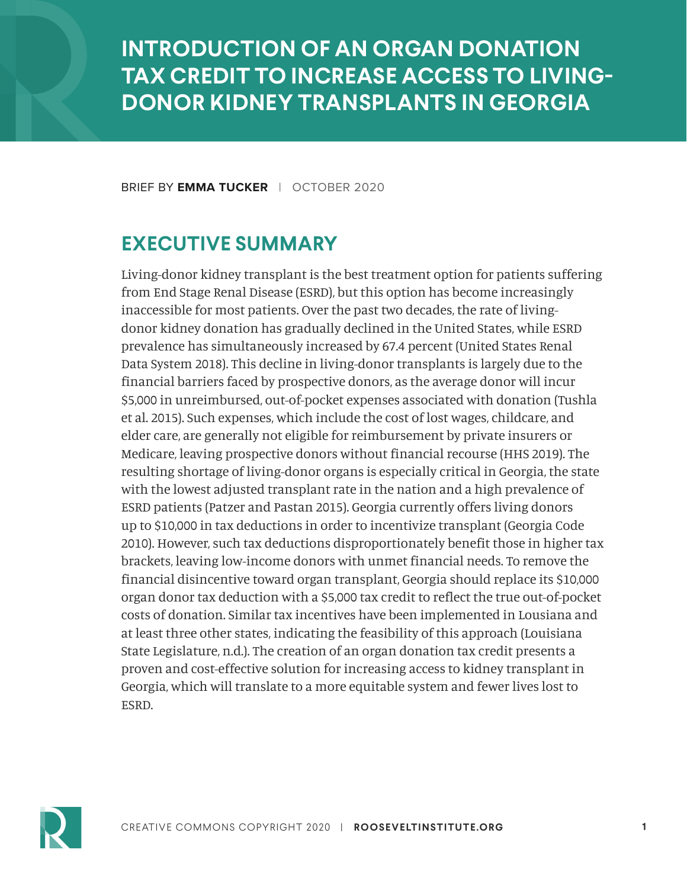# **INTRODUCTION OF AN ORGAN DONATION TAX CREDIT TO INCREASE ACCESS TO LIVING-DONOR KIDNEY TRANSPLANTS IN GEORGIA**

BRIEF BY **EMMA TUCKER** | OCTOBER 2020

### **EXECUTIVE SUMMARY**

Living-donor kidney transplant is the best treatment option for patients suffering from End Stage Renal Disease (ESRD), but this option has become increasingly inaccessible for most patients. Over the past two decades, the rate of livingdonor kidney donation has gradually declined in the United States, while ESRD prevalence has simultaneously increased by 67.4 percent (United States Renal Data System 2018). This decline in living-donor transplants is largely due to the financial barriers faced by prospective donors, as the average donor will incur \$5,000 in unreimbursed, out-of-pocket expenses associated with donation (Tushla et al. 2015). Such expenses, which include the cost of lost wages, childcare, and elder care, are generally not eligible for reimbursement by private insurers or Medicare, leaving prospective donors without financial recourse (HHS 2019). The resulting shortage of living-donor organs is especially critical in Georgia, the state with the lowest adjusted transplant rate in the nation and a high prevalence of ESRD patients (Patzer and Pastan 2015). Georgia currently offers living donors up to \$10,000 in tax deductions in order to incentivize transplant (Georgia Code 2010). However, such tax deductions disproportionately benefit those in higher tax brackets, leaving low-income donors with unmet financial needs. To remove the financial disincentive toward organ transplant, Georgia should replace its \$10,000 organ donor tax deduction with a \$5,000 tax credit to reflect the true out-of-pocket costs of donation. Similar tax incentives have been implemented in Lousiana and at least three other states, indicating the feasibility of this approach (Louisiana State Legislature, n.d.). The creation of an organ donation tax credit presents a proven and cost-effective solution for increasing access to kidney transplant in Georgia, which will translate to a more equitable system and fewer lives lost to ESRD.

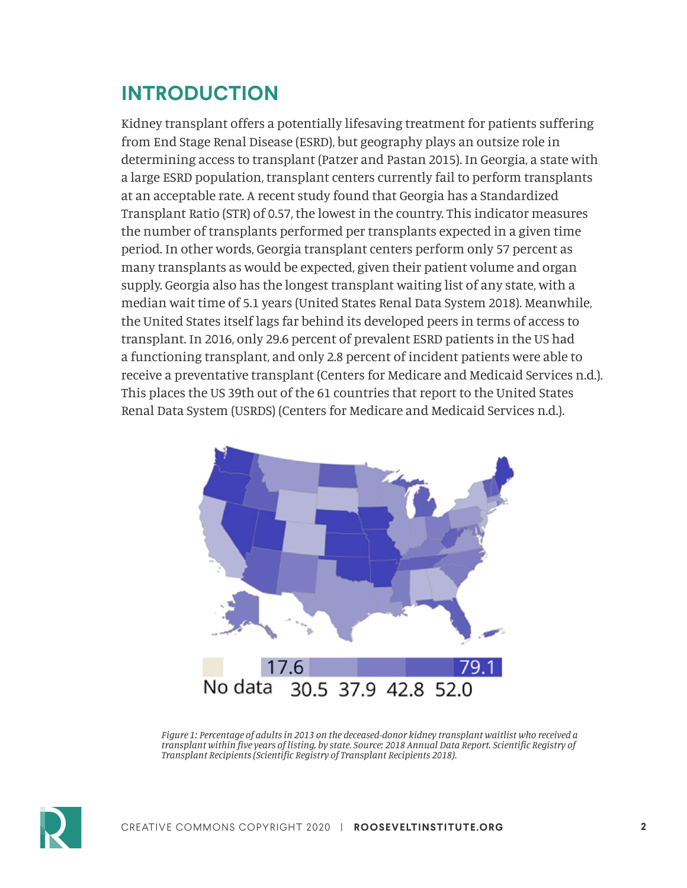# **INTRODUCTION**

Kidney transplant offers a potentially lifesaving treatment for patients suffering from End Stage Renal Disease (ESRD), but geography plays an outsize role in determining access to transplant (Patzer and Pastan 2015). In Georgia, a state with a large ESRD population, transplant centers currently fail to perform transplants at an acceptable rate. A recent study found that Georgia has a Standardized Transplant Ratio (STR) of 0.57, the lowest in the country. This indicator measures the number of transplants performed per transplants expected in a given time period. In other words, Georgia transplant centers perform only 57 percent as many transplants as would be expected, given their patient volume and organ supply. Georgia also has the longest transplant waiting list of any state, with a median wait time of 5.1 years (United States Renal Data System 2018). Meanwhile, the United States itself lags far behind its developed peers in terms of access to transplant. In 2016, only 29.6 percent of prevalent ESRD patients in the US had a functioning transplant, and only 2.8 percent of incident patients were able to receive a preventative transplant (Centers for Medicare and Medicaid Services n.d.). This places the US 39th out of the 61 countries that report to the United States Renal Data System (USRDS) (Centers for Medicare and Medicaid Services n.d.).



*Figure 1: Percentage of adults in 2013 on the deceased-donor kidney transplant waitlist who received a transplant within five years of listing, by state. Source: 2018 Annual Data Report. Scientific Registry of Transplant Recipients (Scientific Registry of Transplant Recipients 2018).*

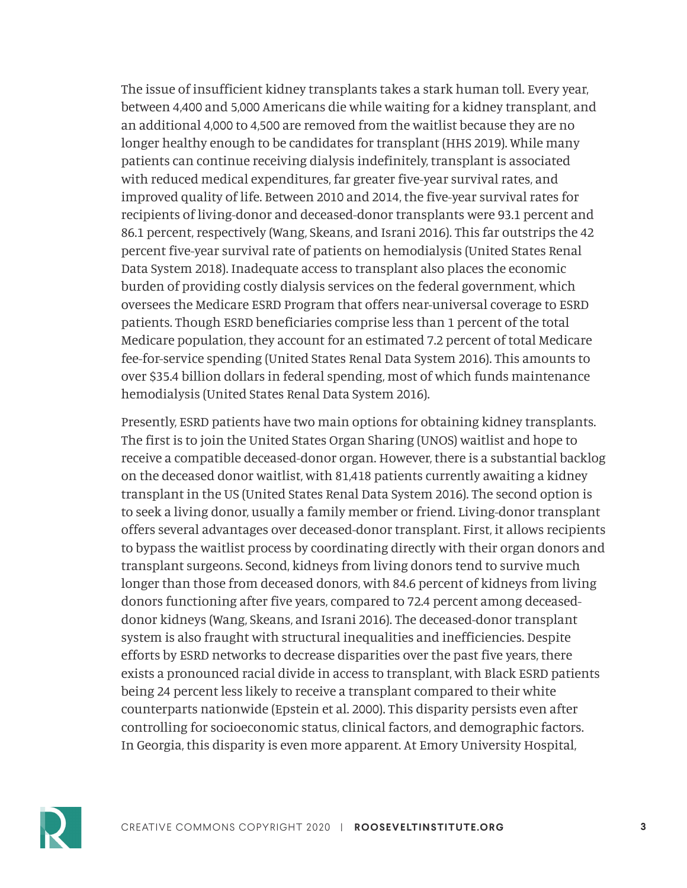The issue of insufficient kidney transplants takes a stark human toll. Every year, between 4,400 and 5,000 Americans die while waiting for a kidney transplant, and an additional 4,000 to 4,500 are removed from the waitlist because they are no longer healthy enough to be candidates for transplant (HHS 2019). While many patients can continue receiving dialysis indefinitely, transplant is associated with reduced medical expenditures, far greater five-year survival rates, and improved quality of life. Between 2010 and 2014, the five-year survival rates for recipients of living-donor and deceased-donor transplants were 93.1 percent and 86.1 percent, respectively (Wang, Skeans, and Israni 2016). This far outstrips the 42 percent five-year survival rate of patients on hemodialysis (United States Renal Data System 2018). Inadequate access to transplant also places the economic burden of providing costly dialysis services on the federal government, which oversees the Medicare ESRD Program that offers near-universal coverage to ESRD patients. Though ESRD beneficiaries comprise less than 1 percent of the total Medicare population, they account for an estimated 7.2 percent of total Medicare fee-for-service spending (United States Renal Data System 2016). This amounts to over \$35.4 billion dollars in federal spending, most of which funds maintenance hemodialysis (United States Renal Data System 2016).

Presently, ESRD patients have two main options for obtaining kidney transplants. The first is to join the United States Organ Sharing (UNOS) waitlist and hope to receive a compatible deceased-donor organ. However, there is a substantial backlog on the deceased donor waitlist, with 81,418 patients currently awaiting a kidney transplant in the US (United States Renal Data System 2016). The second option is to seek a living donor, usually a family member or friend. Living-donor transplant offers several advantages over deceased-donor transplant. First, it allows recipients to bypass the waitlist process by coordinating directly with their organ donors and transplant surgeons. Second, kidneys from living donors tend to survive much longer than those from deceased donors, with 84.6 percent of kidneys from living donors functioning after five years, compared to 72.4 percent among deceaseddonor kidneys (Wang, Skeans, and Israni 2016). The deceased-donor transplant system is also fraught with structural inequalities and inefficiencies. Despite efforts by ESRD networks to decrease disparities over the past five years, there exists a pronounced racial divide in access to transplant, with Black ESRD patients being 24 percent less likely to receive a transplant compared to their white counterparts nationwide (Epstein et al. 2000). This disparity persists even after controlling for socioeconomic status, clinical factors, and demographic factors. In Georgia, this disparity is even more apparent. At Emory University Hospital,

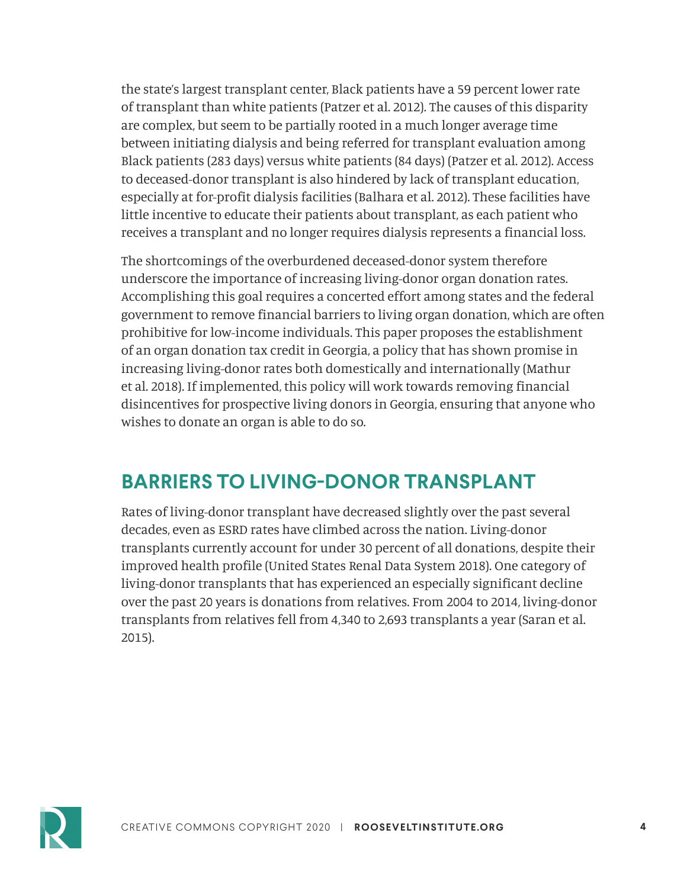the state's largest transplant center, Black patients have a 59 percent lower rate of transplant than white patients (Patzer et al. 2012). The causes of this disparity are complex, but seem to be partially rooted in a much longer average time between initiating dialysis and being referred for transplant evaluation among Black patients (283 days) versus white patients (84 days) (Patzer et al. 2012). Access to deceased-donor transplant is also hindered by lack of transplant education, especially at for-profit dialysis facilities (Balhara et al. 2012). These facilities have little incentive to educate their patients about transplant, as each patient who receives a transplant and no longer requires dialysis represents a financial loss.

The shortcomings of the overburdened deceased-donor system therefore underscore the importance of increasing living-donor organ donation rates. Accomplishing this goal requires a concerted effort among states and the federal government to remove financial barriers to living organ donation, which are often prohibitive for low-income individuals. This paper proposes the establishment of an organ donation tax credit in Georgia, a policy that has shown promise in increasing living-donor rates both domestically and internationally (Mathur et al. 2018). If implemented, this policy will work towards removing financial disincentives for prospective living donors in Georgia, ensuring that anyone who wishes to donate an organ is able to do so.

### **BARRIERS TO LIVING-DONOR TRANSPLANT**

Rates of living-donor transplant have decreased slightly over the past several decades, even as ESRD rates have climbed across the nation. Living-donor transplants currently account for under 30 percent of all donations, despite their improved health profile (United States Renal Data System 2018). One category of living-donor transplants that has experienced an especially significant decline over the past 20 years is donations from relatives. From 2004 to 2014, living-donor transplants from relatives fell from 4,340 to 2,693 transplants a year (Saran et al. 2015).

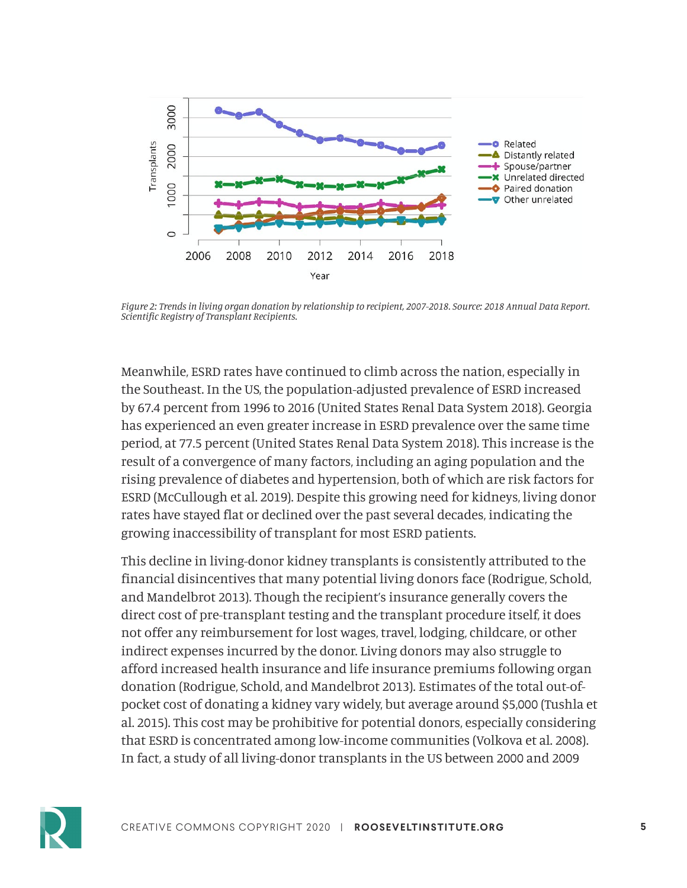

*Figure 2: Trends in living organ donation by relationship to recipient, 2007-2018. Source: 2018 Annual Data Report. Scientific Registry of Transplant Recipients.*

Meanwhile, ESRD rates have continued to climb across the nation, especially in the Southeast. In the US, the population-adjusted prevalence of ESRD increased by 67.4 percent from 1996 to 2016 (United States Renal Data System 2018). Georgia has experienced an even greater increase in ESRD prevalence over the same time period, at 77.5 percent (United States Renal Data System 2018). This increase is the result of a convergence of many factors, including an aging population and the rising prevalence of diabetes and hypertension, both of which are risk factors for ESRD (McCullough et al. 2019). Despite this growing need for kidneys, living donor rates have stayed flat or declined over the past several decades, indicating the growing inaccessibility of transplant for most ESRD patients.

This decline in living-donor kidney transplants is consistently attributed to the financial disincentives that many potential living donors face (Rodrigue, Schold, and Mandelbrot 2013). Though the recipient's insurance generally covers the direct cost of pre-transplant testing and the transplant procedure itself, it does not offer any reimbursement for lost wages, travel, lodging, childcare, or other indirect expenses incurred by the donor. Living donors may also struggle to afford increased health insurance and life insurance premiums following organ donation (Rodrigue, Schold, and Mandelbrot 2013). Estimates of the total out-ofpocket cost of donating a kidney vary widely, but average around \$5,000 (Tushla et al. 2015). This cost may be prohibitive for potential donors, especially considering that ESRD is concentrated among low-income communities (Volkova et al. 2008). In fact, a study of all living-donor transplants in the US between 2000 and 2009

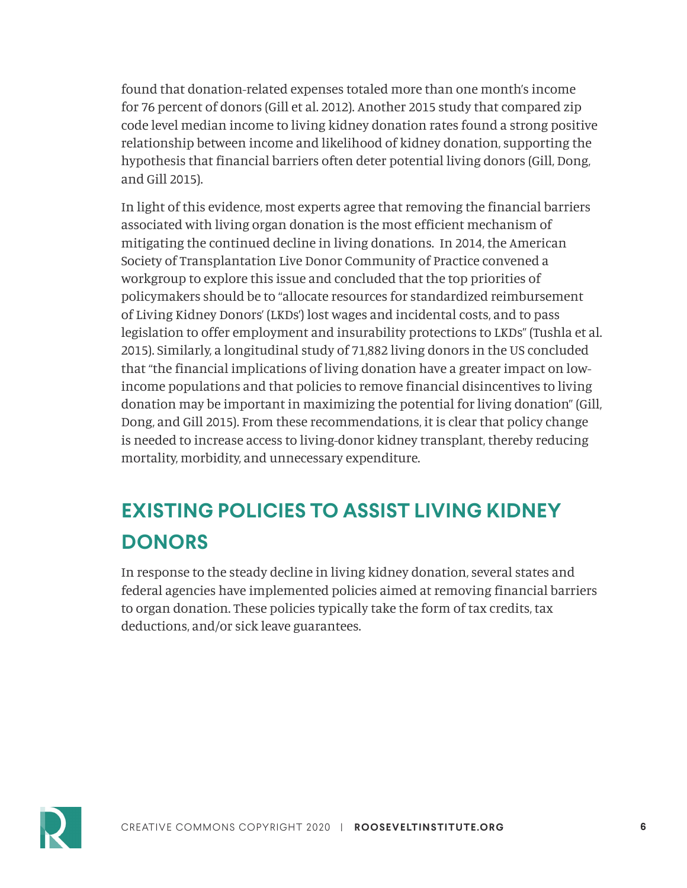found that donation-related expenses totaled more than one month's income for 76 percent of donors (Gill et al. 2012). Another 2015 study that compared zip code level median income to living kidney donation rates found a strong positive relationship between income and likelihood of kidney donation, supporting the hypothesis that financial barriers often deter potential living donors (Gill, Dong, and Gill 2015).

In light of this evidence, most experts agree that removing the financial barriers associated with living organ donation is the most efficient mechanism of mitigating the continued decline in living donations. In 2014, the American Society of Transplantation Live Donor Community of Practice convened a workgroup to explore this issue and concluded that the top priorities of policymakers should be to "allocate resources for standardized reimbursement of Living Kidney Donors' (LKDs') lost wages and incidental costs, and to pass legislation to offer employment and insurability protections to LKDs" (Tushla et al. 2015). Similarly, a longitudinal study of 71,882 living donors in the US concluded that "the financial implications of living donation have a greater impact on lowincome populations and that policies to remove financial disincentives to living donation may be important in maximizing the potential for living donation" (Gill, Dong, and Gill 2015). From these recommendations, it is clear that policy change is needed to increase access to living-donor kidney transplant, thereby reducing mortality, morbidity, and unnecessary expenditure.

# **EXISTING POLICIES TO ASSIST LIVING KIDNEY DONORS**

In response to the steady decline in living kidney donation, several states and federal agencies have implemented policies aimed at removing financial barriers to organ donation. These policies typically take the form of tax credits, tax deductions, and/or sick leave guarantees.

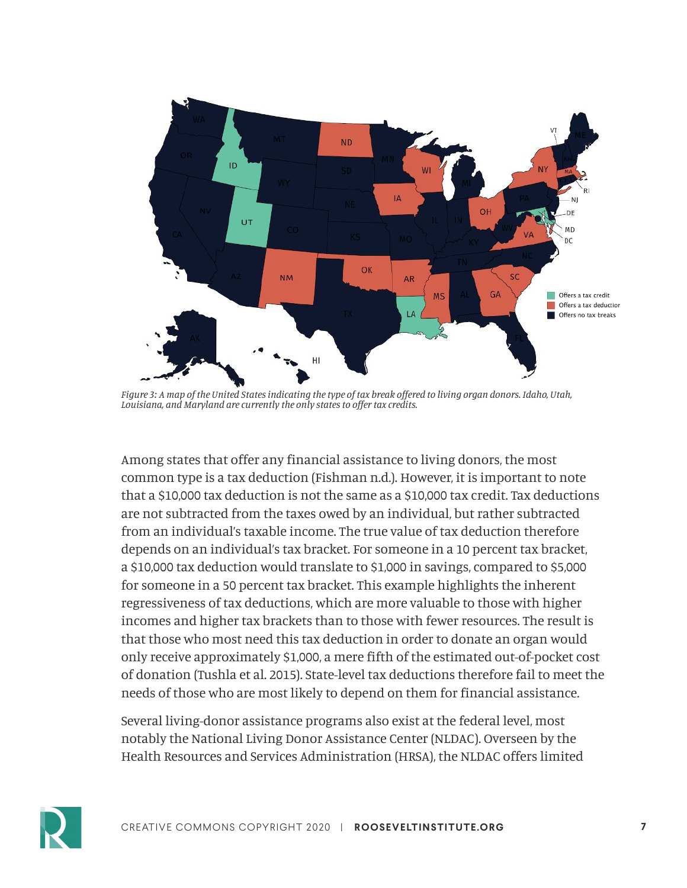

*Figure 3: A map of the United States indicating the type of tax break offered to living organ donors. Idaho, Utah, Louisiana, and Maryland are currently the only states to offer tax credits.* 

Among states that offer any financial assistance to living donors, the most common type is a tax deduction (Fishman n.d.). However, it is important to note that a \$10,000 tax deduction is not the same as a \$10,000 tax credit. Tax deductions are not subtracted from the taxes owed by an individual, but rather subtracted from an individual's taxable income. The true value of tax deduction therefore depends on an individual's tax bracket. For someone in a 10 percent tax bracket, a \$10,000 tax deduction would translate to \$1,000 in savings, compared to \$5,000 for someone in a 50 percent tax bracket. This example highlights the inherent regressiveness of tax deductions, which are more valuable to those with higher incomes and higher tax brackets than to those with fewer resources. The result is that those who most need this tax deduction in order to donate an organ would only receive approximately \$1,000, a mere fifth of the estimated out-of-pocket cost of donation (Tushla et al. 2015). State-level tax deductions therefore fail to meet the needs of those who are most likely to depend on them for financial assistance.

Several living-donor assistance programs also exist at the federal level, most notably the National Living Donor Assistance Center (NLDAC). Overseen by the Health Resources and Services Administration (HRSA), the NLDAC offers limited

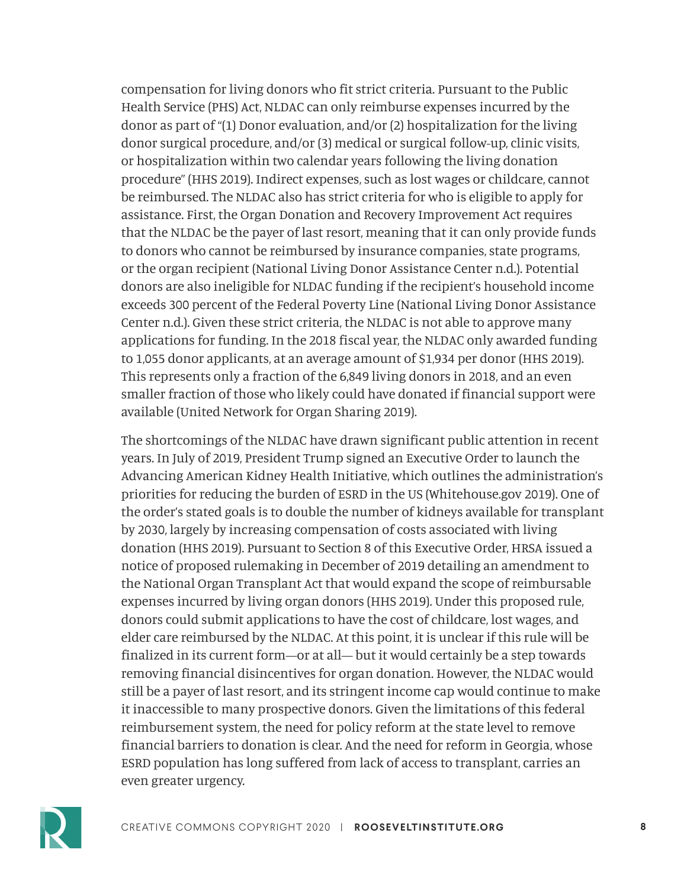compensation for living donors who fit strict criteria. Pursuant to the Public Health Service (PHS) Act, NLDAC can only reimburse expenses incurred by the donor as part of "(1) Donor evaluation, and/or (2) hospitalization for the living donor surgical procedure, and/or (3) medical or surgical follow-up, clinic visits, or hospitalization within two calendar years following the living donation procedure" (HHS 2019). Indirect expenses, such as lost wages or childcare, cannot be reimbursed. The NLDAC also has strict criteria for who is eligible to apply for assistance. First, the Organ Donation and Recovery Improvement Act requires that the NLDAC be the payer of last resort, meaning that it can only provide funds to donors who cannot be reimbursed by insurance companies, state programs, or the organ recipient (National Living Donor Assistance Center n.d.). Potential donors are also ineligible for NLDAC funding if the recipient's household income exceeds 300 percent of the Federal Poverty Line (National Living Donor Assistance Center n.d.). Given these strict criteria, the NLDAC is not able to approve many applications for funding. In the 2018 fiscal year, the NLDAC only awarded funding to 1,055 donor applicants, at an average amount of \$1,934 per donor (HHS 2019). This represents only a fraction of the 6,849 living donors in 2018, and an even smaller fraction of those who likely could have donated if financial support were available (United Network for Organ Sharing 2019).

The shortcomings of the NLDAC have drawn significant public attention in recent years. In July of 2019, President Trump signed an Executive Order to launch the Advancing American Kidney Health Initiative, which outlines the administration's priorities for reducing the burden of ESRD in the US (Whitehouse.gov 2019). One of the order's stated goals is to double the number of kidneys available for transplant by 2030, largely by increasing compensation of costs associated with living donation (HHS 2019). Pursuant to Section 8 of this Executive Order, HRSA issued a notice of proposed rulemaking in December of 2019 detailing an amendment to the National Organ Transplant Act that would expand the scope of reimbursable expenses incurred by living organ donors (HHS 2019). Under this proposed rule, donors could submit applications to have the cost of childcare, lost wages, and elder care reimbursed by the NLDAC. At this point, it is unclear if this rule will be finalized in its current form—or at all— but it would certainly be a step towards removing financial disincentives for organ donation. However, the NLDAC would still be a payer of last resort, and its stringent income cap would continue to make it inaccessible to many prospective donors. Given the limitations of this federal reimbursement system, the need for policy reform at the state level to remove financial barriers to donation is clear. And the need for reform in Georgia, whose ESRD population has long suffered from lack of access to transplant, carries an even greater urgency.

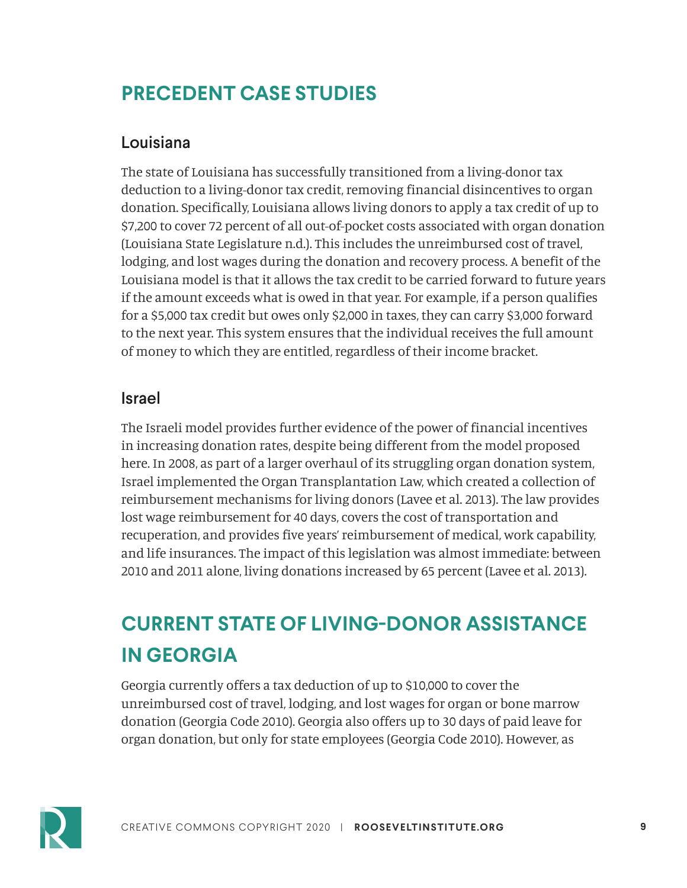# **PRECEDENT CASE STUDIES**

#### Louisiana

The state of Louisiana has successfully transitioned from a living-donor tax deduction to a living-donor tax credit, removing financial disincentives to organ donation. Specifically, Louisiana allows living donors to apply a tax credit of up to \$7,200 to cover 72 percent of all out-of-pocket costs associated with organ donation (Louisiana State Legislature n.d.). This includes the unreimbursed cost of travel, lodging, and lost wages during the donation and recovery process. A benefit of the Louisiana model is that it allows the tax credit to be carried forward to future years if the amount exceeds what is owed in that year. For example, if a person qualifies for a \$5,000 tax credit but owes only \$2,000 in taxes, they can carry \$3,000 forward to the next year. This system ensures that the individual receives the full amount of money to which they are entitled, regardless of their income bracket.

#### Israel

The Israeli model provides further evidence of the power of financial incentives in increasing donation rates, despite being different from the model proposed here. In 2008, as part of a larger overhaul of its struggling organ donation system, Israel implemented the Organ Transplantation Law, which created a collection of reimbursement mechanisms for living donors (Lavee et al. 2013). The law provides lost wage reimbursement for 40 days, covers the cost of transportation and recuperation, and provides five years' reimbursement of medical, work capability, and life insurances. The impact of this legislation was almost immediate: between 2010 and 2011 alone, living donations increased by 65 percent (Lavee et al. 2013).

# **CURRENT STATE OF LIVING-DONOR ASSISTANCE IN GEORGIA**

Georgia currently offers a tax deduction of up to \$10,000 to cover the unreimbursed cost of travel, lodging, and lost wages for organ or bone marrow donation (Georgia Code 2010). Georgia also offers up to 30 days of paid leave for organ donation, but only for state employees (Georgia Code 2010). However, as

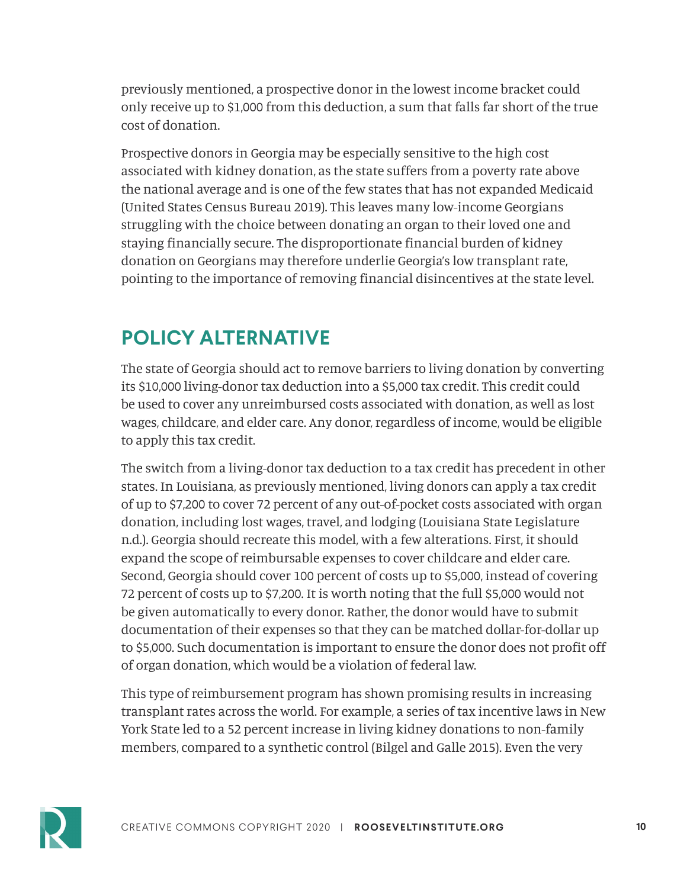previously mentioned, a prospective donor in the lowest income bracket could only receive up to \$1,000 from this deduction, a sum that falls far short of the true cost of donation.

Prospective donors in Georgia may be especially sensitive to the high cost associated with kidney donation, as the state suffers from a poverty rate above the national average and is one of the few states that has not expanded Medicaid (United States Census Bureau 2019). This leaves many low-income Georgians struggling with the choice between donating an organ to their loved one and staying financially secure. The disproportionate financial burden of kidney donation on Georgians may therefore underlie Georgia's low transplant rate, pointing to the importance of removing financial disincentives at the state level.

# **POLICY ALTERNATIVE**

The state of Georgia should act to remove barriers to living donation by converting its \$10,000 living-donor tax deduction into a \$5,000 tax credit. This credit could be used to cover any unreimbursed costs associated with donation, as well as lost wages, childcare, and elder care. Any donor, regardless of income, would be eligible to apply this tax credit.

The switch from a living-donor tax deduction to a tax credit has precedent in other states. In Louisiana, as previously mentioned, living donors can apply a tax credit of up to \$7,200 to cover 72 percent of any out-of-pocket costs associated with organ donation, including lost wages, travel, and lodging (Louisiana State Legislature n.d.). Georgia should recreate this model, with a few alterations. First, it should expand the scope of reimbursable expenses to cover childcare and elder care. Second, Georgia should cover 100 percent of costs up to \$5,000, instead of covering 72 percent of costs up to \$7,200. It is worth noting that the full \$5,000 would not be given automatically to every donor. Rather, the donor would have to submit documentation of their expenses so that they can be matched dollar-for-dollar up to \$5,000. Such documentation is important to ensure the donor does not profit off of organ donation, which would be a violation of federal law.

This type of reimbursement program has shown promising results in increasing transplant rates across the world. For example, a series of tax incentive laws in New York State led to a 52 percent increase in living kidney donations to non-family members, compared to a synthetic control (Bilgel and Galle 2015). Even the very

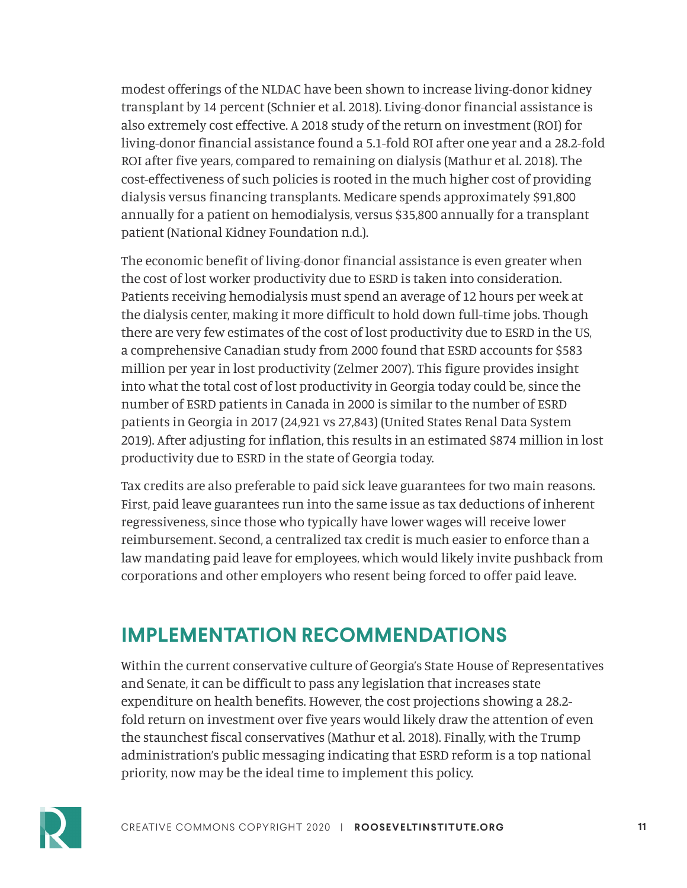modest offerings of the NLDAC have been shown to increase living-donor kidney transplant by 14 percent (Schnier et al. 2018). Living-donor financial assistance is also extremely cost effective. A 2018 study of the return on investment (ROI) for living-donor financial assistance found a 5.1-fold ROI after one year and a 28.2-fold ROI after five years, compared to remaining on dialysis (Mathur et al. 2018). The cost-effectiveness of such policies is rooted in the much higher cost of providing dialysis versus financing transplants. Medicare spends approximately \$91,800 annually for a patient on hemodialysis, versus \$35,800 annually for a transplant patient (National Kidney Foundation n.d.).

The economic benefit of living-donor financial assistance is even greater when the cost of lost worker productivity due to ESRD is taken into consideration. Patients receiving hemodialysis must spend an average of 12 hours per week at the dialysis center, making it more difficult to hold down full-time jobs. Though there are very few estimates of the cost of lost productivity due to ESRD in the US, a comprehensive Canadian study from 2000 found that ESRD accounts for \$583 million per year in lost productivity (Zelmer 2007). This figure provides insight into what the total cost of lost productivity in Georgia today could be, since the number of ESRD patients in Canada in 2000 is similar to the number of ESRD patients in Georgia in 2017 (24,921 vs 27,843) (United States Renal Data System 2019). After adjusting for inflation, this results in an estimated \$874 million in lost productivity due to ESRD in the state of Georgia today.

Tax credits are also preferable to paid sick leave guarantees for two main reasons. First, paid leave guarantees run into the same issue as tax deductions of inherent regressiveness, since those who typically have lower wages will receive lower reimbursement. Second, a centralized tax credit is much easier to enforce than a law mandating paid leave for employees, which would likely invite pushback from corporations and other employers who resent being forced to offer paid leave.

# **IMPLEMENTATION RECOMMENDATIONS**

Within the current conservative culture of Georgia's State House of Representatives and Senate, it can be difficult to pass any legislation that increases state expenditure on health benefits. However, the cost projections showing a 28.2 fold return on investment over five years would likely draw the attention of even the staunchest fiscal conservatives (Mathur et al. 2018). Finally, with the Trump administration's public messaging indicating that ESRD reform is a top national priority, now may be the ideal time to implement this policy.

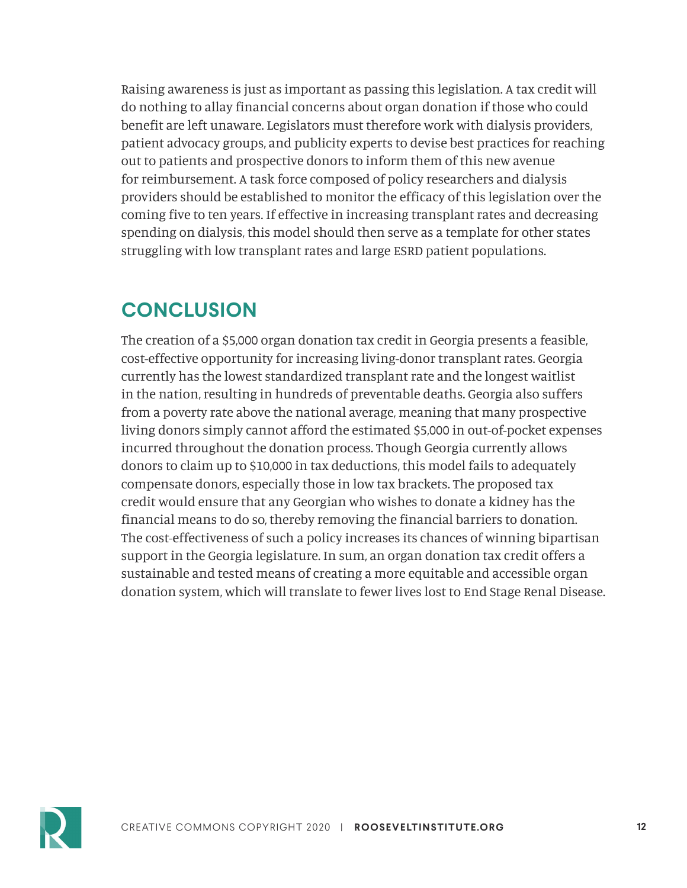Raising awareness is just as important as passing this legislation. A tax credit will do nothing to allay financial concerns about organ donation if those who could benefit are left unaware. Legislators must therefore work with dialysis providers, patient advocacy groups, and publicity experts to devise best practices for reaching out to patients and prospective donors to inform them of this new avenue for reimbursement. A task force composed of policy researchers and dialysis providers should be established to monitor the efficacy of this legislation over the coming five to ten years. If effective in increasing transplant rates and decreasing spending on dialysis, this model should then serve as a template for other states struggling with low transplant rates and large ESRD patient populations.

# **CONCLUSION**

The creation of a \$5,000 organ donation tax credit in Georgia presents a feasible, cost-effective opportunity for increasing living-donor transplant rates. Georgia currently has the lowest standardized transplant rate and the longest waitlist in the nation, resulting in hundreds of preventable deaths. Georgia also suffers from a poverty rate above the national average, meaning that many prospective living donors simply cannot afford the estimated \$5,000 in out-of-pocket expenses incurred throughout the donation process. Though Georgia currently allows donors to claim up to \$10,000 in tax deductions, this model fails to adequately compensate donors, especially those in low tax brackets. The proposed tax credit would ensure that any Georgian who wishes to donate a kidney has the financial means to do so, thereby removing the financial barriers to donation. The cost-effectiveness of such a policy increases its chances of winning bipartisan support in the Georgia legislature. In sum, an organ donation tax credit offers a sustainable and tested means of creating a more equitable and accessible organ donation system, which will translate to fewer lives lost to End Stage Renal Disease.

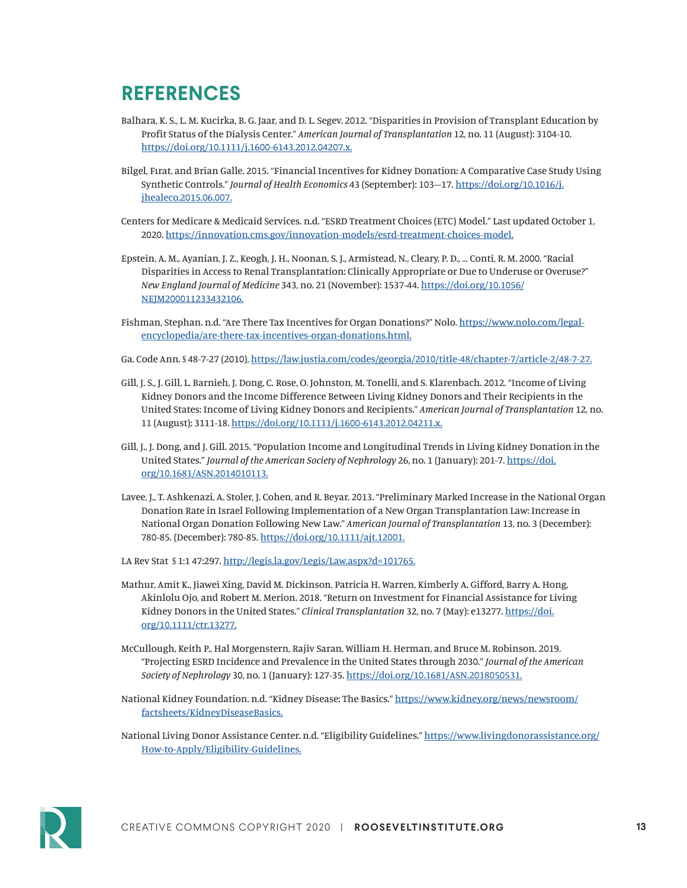### **REFERENCES**

- Balhara, K. S., L. M. Kucirka, B. G. Jaar, and D. L. Segev. 2012. "Disparities in Provision of Transplant Education by Profit Status of the Dialysis Center." *American Journal of Transplantation* 12, no. 11 (August): 3104-10. <https://doi.org/10.1111/j.1600-6143.2012.04207.x.>
- Bilgel, Fırat, and Brian Galle. 2015. "Financial Incentives for Kidney Donation: A Comparative Case Study Using Synthetic Controls." *Journal of Health Economics* 43 (September): 103–17. [https://doi.org/10.1016/j.](https://doi.org/10.1016/j.jhealeco.2015.06.007.) [jhealeco.2015.06.007.](https://doi.org/10.1016/j.jhealeco.2015.06.007.)
- Centers for Medicare & Medicaid Services. n.d. "ESRD Treatment Choices (ETC) Model." Last updated October 1, 2020. <https://innovation.cms.gov/innovation-models/esrd-treatment-choices-model.>
- Epstein, A. M., Ayanian, J. Z., Keogh, J. H., Noonan, S. J., Armistead, N., Cleary, P. D., … Conti, R. M. 2000. "Racial Disparities in Access to Renal Transplantation: Clinically Appropriate or Due to Underuse or Overuse?" *New England Journal of Medicine* 343, no. 21 (November): 1537-44. [https://doi.org/10.1056/](https://doi.org/10.1056/NEJM200011233432106.) [NEJM200011233432106.](https://doi.org/10.1056/NEJM200011233432106.)
- Fishman, Stephan. n.d. "Are There Tax Incentives for Organ Donations?" Nolo. [https://www.nolo.com/legal](https://www.nolo.com/legal-encyclopedia/are-there-tax-incentives-organ-donations.html.)[encyclopedia/are-there-tax-incentives-organ-donations.html.](https://www.nolo.com/legal-encyclopedia/are-there-tax-incentives-organ-donations.html.)
- Ga. Code Ann. § 48-7-27 (2010), <https://law.justia.com/codes/georgia/2010/title-48/chapter-7/article-2/48-7-27.>
- Gill, J. S., J. Gill, L. Barnieh, J. Dong, C. Rose, O. Johnston, M. Tonelli, and S. Klarenbach. 2012. "Income of Living Kidney Donors and the Income Difference Between Living Kidney Donors and Their Recipients in the United States: Income of Living Kidney Donors and Recipients." *American Journal of Transplantation* 12, no. 11 (August): 3111-18.<https://doi.org/10.1111/j.1600-6143.2012.04211.x.>
- Gill, J., J. Dong, and J. Gill. 2015. "Population Income and Longitudinal Trends in Living Kidney Donation in the United States." *Journal of the American Society of Nephrology* 26, no. 1 (January): 201-7. [https://doi.](https://doi.org/10.1681/ASN.2014010113.) [org/10.1681/ASN.2014010113.](https://doi.org/10.1681/ASN.2014010113.)
- Lavee, J., T. Ashkenazi, A. Stoler, J. Cohen, and R. Beyar. 2013. "Preliminary Marked Increase in the National Organ Donation Rate in Israel Following Implementation of a New Organ Transplantation Law: Increase in National Organ Donation Following New Law." *American Journal of Transplantation* 13, no. 3 (December): 780-85. (December): 780-85. <https://doi.org/10.1111/ajt.12001.>
- LA Rev Stat § 1:1 47:297. http://legis.la.gov/Legis/Law.aspx?d=101765[.](http://legis.la.gov/Legis/Law.aspx?p=y&d=101765.)
- Mathur, Amit K., Jiawei Xing, David M. Dickinson, Patricia H. Warren, Kimberly A. Gifford, Barry A. Hong, Akinlolu Ojo, and Robert M. Merion. 2018. "Return on Investment for Financial Assistance for Living Kidney Donors in the United States." *Clinical Transplantation* 32, no. 7 (May): e13277. [https://doi.](https://doi.org/10.1111/ctr.13277.) [org/10.1111/ctr.13277.](https://doi.org/10.1111/ctr.13277.)
- McCullough, Keith P., Hal Morgenstern, Rajiv Saran, William H. Herman, and Bruce M. Robinson. 2019. "Projecting ESRD Incidence and Prevalence in the United States through 2030." *Journal of the American Society of Nephrology* 30, no. 1 (January): 127-35. <https://doi.org/10.1681/ASN.2018050531.>
- National Kidney Foundation. n.d. "Kidney Disease: The Basics." [https://www.kidney.org/news/newsroom/](https://www.kidney.org/news/newsroom/factsheets/KidneyDiseaseBasics.) [factsheets/KidneyDiseaseBasics.](https://www.kidney.org/news/newsroom/factsheets/KidneyDiseaseBasics.)

National Living Donor Assistance Center. n.d. "Eligibility Guidelines." [https://www.livingdonorassistance.org/](https://www.livingdonorassistance.org/How-to-Apply/Eligibility-Guidelines.) [How-to-Apply/Eligibility-Guidelines.](https://www.livingdonorassistance.org/How-to-Apply/Eligibility-Guidelines.)

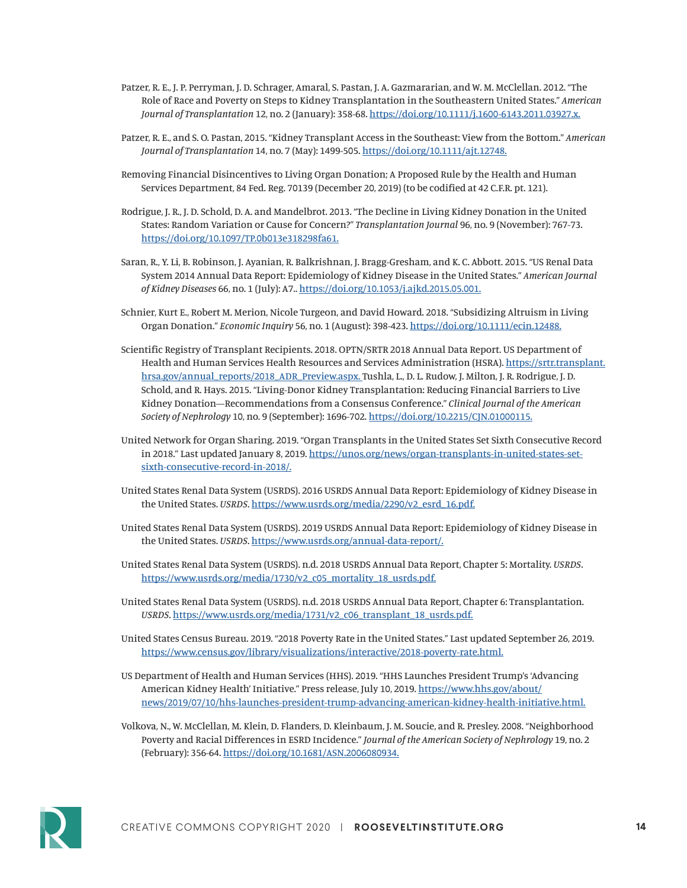- Patzer, R. E., J. P. Perryman, J. D. Schrager, Amaral, S. Pastan, J. A. Gazmararian, and W. M. McClellan. 2012. "The Role of Race and Poverty on Steps to Kidney Transplantation in the Southeastern United States." *American Journal of Transplantation* 12, no. 2 (January): 358-68. <https://doi.org/10.1111/j.1600-6143.2011.03927.x.>
- Patzer, R. E., and S. O. Pastan, 2015. "Kidney Transplant Access in the Southeast: View from the Bottom." *American Journal of Transplantation* 14, no. 7 (May): 1499-505. <https://doi.org/10.1111/ajt.12748.>
- Removing Financial Disincentives to Living Organ Donation; A Proposed Rule by the Health and Human Services Department, 84 Fed. Reg. 70139 (December 20, 2019) (to be codified at 42 C.F.R. pt. 121).
- Rodrigue, J. R., J. D. Schold, D. A. and Mandelbrot. 2013. "The Decline in Living Kidney Donation in the United States: Random Variation or Cause for Concern?" *Transplantation Journal* 96, no. 9 (November): 767-73. <https://doi.org/10.1097/TP.0b013e318298fa61.>
- Saran, R., Y. Li, B. Robinson, J. Ayanian, R. Balkrishnan, J. Bragg-Gresham, and K. C. Abbott. 2015. "US Renal Data System 2014 Annual Data Report: Epidemiology of Kidney Disease in the United States." *American Journal of Kidney Diseases* 66, no. 1 (July): A7.. <https://doi.org/10.1053/j.ajkd.2015.05.001.>
- Schnier, Kurt E., Robert M. Merion, Nicole Turgeon, and David Howard. 2018. "Subsidizing Altruism in Living Organ Donation." *Economic Inquiry* 56, no. 1 (August): 398-423. <https://doi.org/10.1111/ecin.12488.>
- Scientific Registry of Transplant Recipients. 2018. OPTN/SRTR 2018 Annual Data Report. US Department of Health and Human Services Health Resources and Services Administration (HSRA). [https://srtr.transplant.](https://srtr.transplant.hrsa.gov/annual_reports/2018_ADR_Preview.aspx.) [hrsa.gov/annual\\_reports/2018\\_ADR\\_Preview.aspx.](https://srtr.transplant.hrsa.gov/annual_reports/2018_ADR_Preview.aspx.) Tushla, L., D. L. Rudow, J. Milton, J. R. Rodrigue, J. D. Schold, and R. Hays. 2015. "Living-Donor Kidney Transplantation: Reducing Financial Barriers to Live Kidney Donation—Recommendations from a Consensus Conference." *Clinical Journal of the American Society of Nephrology* 10, no. 9 (September): 1696-702. <https://doi.org/10.2215/CJN.01000115.>
- United Network for Organ Sharing. 2019. "Organ Transplants in the United States Set Sixth Consecutive Record in 2018." Last updated January 8, 2019. [https://unos.org/news/organ-transplants-in-united-states-set](https://unos.org/news/organ-transplants-in-united-states-set-sixth-consecutive-record-in-2018/. )[sixth-consecutive-record-in-2018/.](https://unos.org/news/organ-transplants-in-united-states-set-sixth-consecutive-record-in-2018/. )
- United States Renal Data System (USRDS). 2016 USRDS Annual Data Report: Epidemiology of Kidney Disease in the United States. *USRDS*. [https://www.usrds.org/media/2290/v2\\_esrd\\_16.pdf.](https://www.usrds.org/media/2290/v2_esrd_16.pdf.)
- United States Renal Data System (USRDS). 2019 USRDS Annual Data Report: Epidemiology of Kidney Disease in the United States. *USRDS*.<https://www.usrds.org/annual-data-report/.>
- United States Renal Data System (USRDS). n.d. 2018 USRDS Annual Data Report, Chapter 5: Mortality. *USRDS*. [https://www.usrds.org/media/1730/v2\\_c05\\_mortality\\_18\\_usrds.pdf.](https://www.usrds.org/media/1730/v2_c05_mortality_18_usrds.pdf.)
- United States Renal Data System (USRDS). n.d. 2018 USRDS Annual Data Report, Chapter 6: Transplantation. *USRDS*. [https://www.usrds.org/media/1731/v2\\_c06\\_transplant\\_18\\_usrds.pdf.](https://www.usrds.org/media/1731/v2_c06_transplant_18_usrds.pdf.)
- United States Census Bureau. 2019. "2018 Poverty Rate in the United States." Last updated September 26, 2019. <https://www.census.gov/library/visualizations/interactive/2018-poverty-rate.html.>
- US Department of Health and Human Services (HHS). 2019. "HHS Launches President Trump's 'Advancing American Kidney Health' Initiative." Press release, July 10, 2019. [https://www.hhs.gov/about/](https://www.hhs.gov/about/news/2019/07/10/hhs-launches-president-trump-advancing-american-kidney-health-initiative.html.) [news/2019/07/10/hhs-launches-president-trump-advancing-american-kidney-health-initiative.html.](https://www.hhs.gov/about/news/2019/07/10/hhs-launches-president-trump-advancing-american-kidney-health-initiative.html.)
- Volkova, N., W. McClellan, M. Klein, D. Flanders, D. Kleinbaum, J. M. Soucie, and R. Presley. 2008. "Neighborhood Poverty and Racial Differences in ESRD Incidence." *Journal of the American Society of Nephrology* 19, no. 2 (February): 356-64. <https://doi.org/10.1681/ASN.2006080934.>

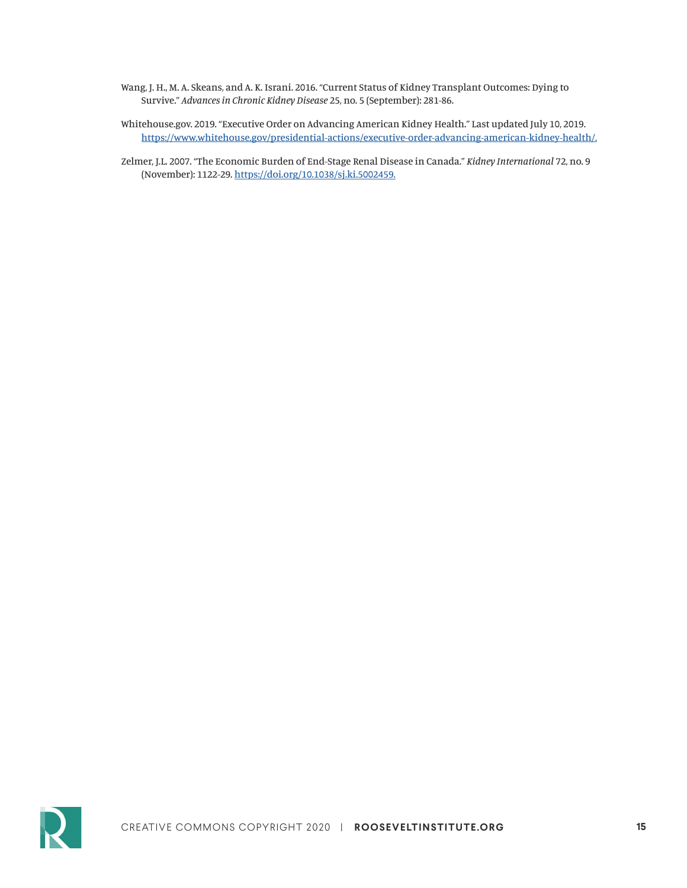- Wang, J. H., M. A. Skeans, and A. K. Israni. 2016. "Current Status of Kidney Transplant Outcomes: Dying to Survive." *Advances in Chronic Kidney Disease* 25, no. 5 (September): 281-86.
- Whitehouse.gov. 2019. "Executive Order on Advancing American Kidney Health." Last updated July 10, 2019. <https://www.whitehouse.gov/presidential-actions/executive-order-advancing-american-kidney-health/.>
- Zelmer, J.L. 2007. "The Economic Burden of End-Stage Renal Disease in Canada." *Kidney International* 72, no. 9 (November): 1122-29.<https://doi.org/10.1038/sj.ki.5002459.>